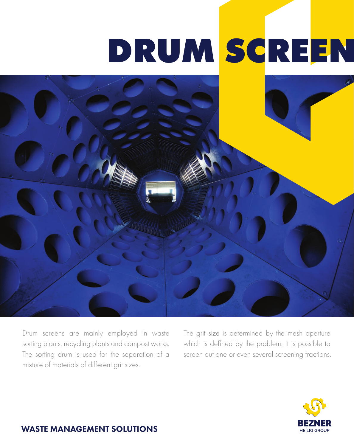# DRUM SCREEN



Drum screens are mainly employed in waste sorting plants, recycling plants and compost works. The sorting drum is used for the separation of a mixture of materials of different grit sizes.

The grit size is determined by the mesh aperture which is defined by the problem. It is possible to screen out one or even several screening fractions.



#### WASTE MANAGEMENT SOLUTIONS